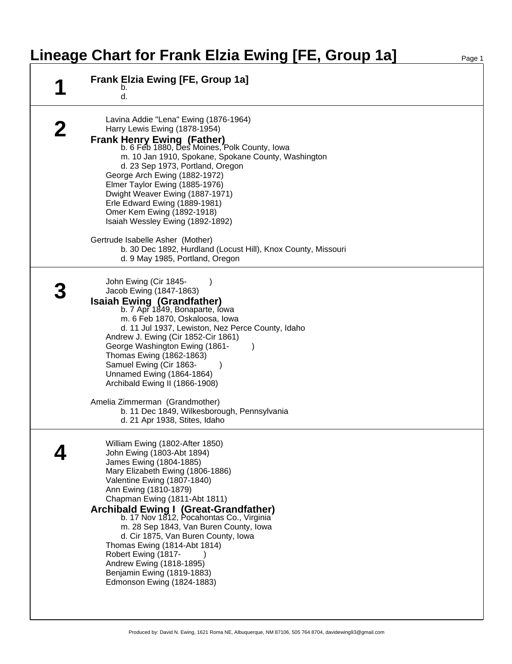## **Lineage Chart for Frank Elzia Ewing [FE, Group 1a]**

| <b>Frank Elzia Ewing [FE, Group 1a]</b><br>b.<br>d.                                                                                                                                                                                                                                                                                                                                                                                                                                                                                        |  |
|--------------------------------------------------------------------------------------------------------------------------------------------------------------------------------------------------------------------------------------------------------------------------------------------------------------------------------------------------------------------------------------------------------------------------------------------------------------------------------------------------------------------------------------------|--|
| Lavina Addie "Lena" Ewing (1876-1964)<br>Harry Lewis Ewing (1878-1954)<br><b>Frank Henry Ewing (Father)</b><br>b. 6 Feb 1880, Des Moines, Polk County, Iowa<br>m. 10 Jan 1910, Spokane, Spokane County, Washington<br>d. 23 Sep 1973, Portland, Oregon<br>George Arch Ewing (1882-1972)<br>Elmer Taylor Ewing (1885-1976)<br>Dwight Weaver Ewing (1887-1971)<br>Erle Edward Ewing (1889-1981)<br>Omer Kem Ewing (1892-1918)<br>Isaiah Wessley Ewing (1892-1892)                                                                            |  |
| Gertrude Isabelle Asher (Mother)<br>b. 30 Dec 1892, Hurdland (Locust Hill), Knox County, Missouri<br>d. 9 May 1985, Portland, Oregon                                                                                                                                                                                                                                                                                                                                                                                                       |  |
| John Ewing (Cir 1845-<br>Jacob Ewing (1847-1863)<br><b>Isaiah Ewing (Grandfather)</b><br>b. 7 Apr 1849, Bonaparte, Iowa<br>m. 6 Feb 1870, Oskaloosa, Iowa<br>d. 11 Jul 1937, Lewiston, Nez Perce County, Idaho<br>Andrew J. Ewing (Cir 1852-Cir 1861)<br>George Washington Ewing (1861-<br>Thomas Ewing (1862-1863)<br>Samuel Ewing (Cir 1863-<br>Unnamed Ewing (1864-1864)<br>Archibald Ewing II (1866-1908)<br>Amelia Zimmerman (Grandmother)<br>b. 11 Dec 1849, Wilkesborough, Pennsylvania<br>d. 21 Apr 1938, Stites, Idaho            |  |
| William Ewing (1802-After 1850)<br>John Ewing (1803-Abt 1894)<br>James Ewing (1804-1885)<br>Mary Elizabeth Ewing (1806-1886)<br>Valentine Ewing (1807-1840)<br>Ann Ewing (1810-1879)<br>Chapman Ewing (1811-Abt 1811)<br>Archibald Ewing I (Great-Grandfather)<br>b. 17 Nov 1812, Pocahontas Co., Virginia<br>m. 28 Sep 1843, Van Buren County, Iowa<br>d. Cir 1875, Van Buren County, Iowa<br>Thomas Ewing (1814-Abt 1814)<br>Robert Ewing (1817-<br>Andrew Ewing (1818-1895)<br>Benjamin Ewing (1819-1883)<br>Edmonson Ewing (1824-1883) |  |